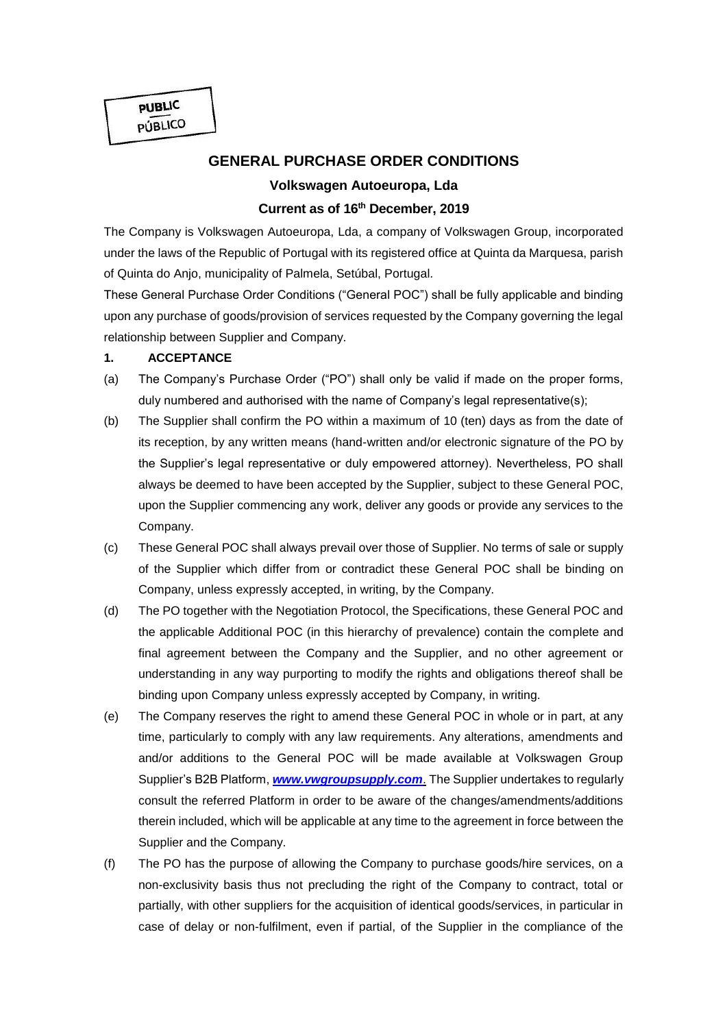**PUBLIC** PÚBLICO

# **GENERAL PURCHASE ORDER CONDITIONS**

# **Volkswagen Autoeuropa, Lda Current as of 16th December, 2019**

The Company is Volkswagen Autoeuropa, Lda, a company of Volkswagen Group, incorporated under the laws of the Republic of Portugal with its registered office at Quinta da Marquesa, parish of Quinta do Anjo, municipality of Palmela, Setúbal, Portugal.

These General Purchase Order Conditions ("General POC") shall be fully applicable and binding upon any purchase of goods/provision of services requested by the Company governing the legal relationship between Supplier and Company.

#### **1. ACCEPTANCE**

- (a) The Company's Purchase Order ("PO") shall only be valid if made on the proper forms, duly numbered and authorised with the name of Company's legal representative(s);
- (b) The Supplier shall confirm the PO within a maximum of 10 (ten) days as from the date of its reception, by any written means (hand-written and/or electronic signature of the PO by the Supplier's legal representative or duly empowered attorney). Nevertheless, PO shall always be deemed to have been accepted by the Supplier, subject to these General POC, upon the Supplier commencing any work, deliver any goods or provide any services to the Company.
- (c) These General POC shall always prevail over those of Supplier. No terms of sale or supply of the Supplier which differ from or contradict these General POC shall be binding on Company, unless expressly accepted, in writing, by the Company.
- (d) The PO together with the Negotiation Protocol, the Specifications, these General POC and the applicable Additional POC (in this hierarchy of prevalence) contain the complete and final agreement between the Company and the Supplier, and no other agreement or understanding in any way purporting to modify the rights and obligations thereof shall be binding upon Company unless expressly accepted by Company, in writing.
- (e) The Company reserves the right to amend these General POC in whole or in part, at any time, particularly to comply with any law requirements. Any alterations, amendments and and/or additions to the General POC will be made available at Volkswagen Group Supplier's B2B Platform, *[www.vwgroupsupply.com](http://www.vwgroupsupply.com/)*. The Supplier undertakes to regularly consult the referred Platform in order to be aware of the changes/amendments/additions therein included, which will be applicable at any time to the agreement in force between the Supplier and the Company.
- (f) The PO has the purpose of allowing the Company to purchase goods/hire services, on a non-exclusivity basis thus not precluding the right of the Company to contract, total or partially, with other suppliers for the acquisition of identical goods/services, in particular in case of delay or non-fulfilment, even if partial, of the Supplier in the compliance of the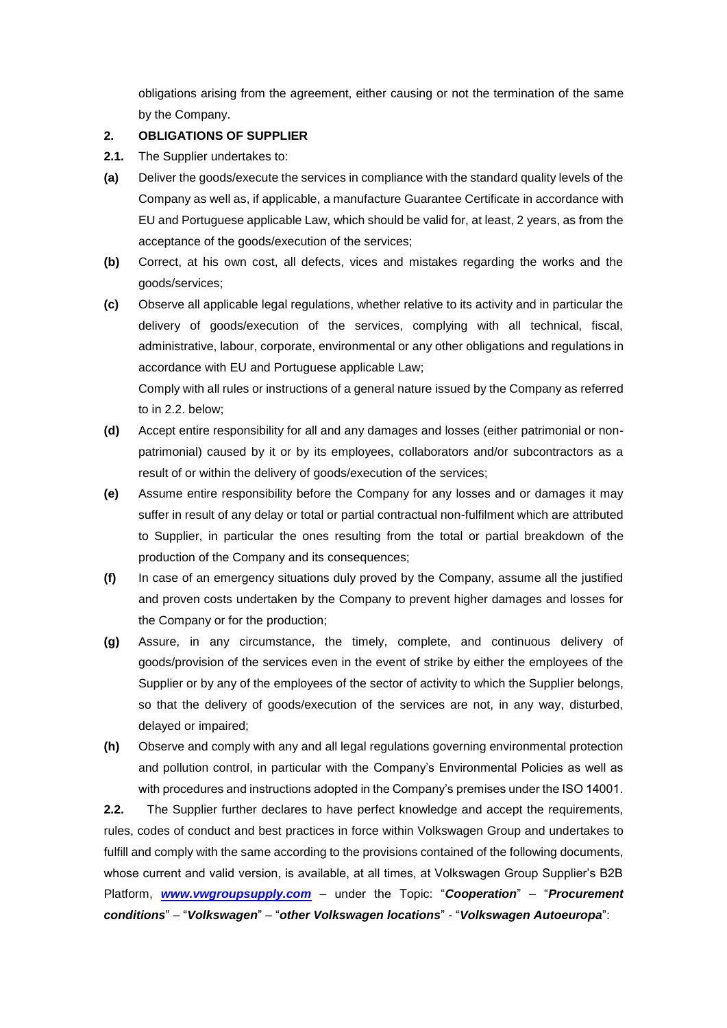obligations arising from the agreement, either causing or not the termination of the same by the Company.

### **2. OBLIGATIONS OF SUPPLIER**

- **2.1.** The Supplier undertakes to:
- **(a)** Deliver the goods/execute the services in compliance with the standard quality levels of the Company as well as, if applicable, a manufacture Guarantee Certificate in accordance with EU and Portuguese applicable Law, which should be valid for, at least, 2 years, as from the acceptance of the goods/execution of the services;
- **(b)** Correct, at his own cost, all defects, vices and mistakes regarding the works and the goods/services;
- **(c)** Observe all applicable legal regulations, whether relative to its activity and in particular the delivery of goods/execution of the services, complying with all technical, fiscal, administrative, labour, corporate, environmental or any other obligations and regulations in accordance with EU and Portuguese applicable Law;

Comply with all rules or instructions of a general nature issued by the Company as referred to in 2.2. below;

- **(d)** Accept entire responsibility for all and any damages and losses (either patrimonial or nonpatrimonial) caused by it or by its employees, collaborators and/or subcontractors as a result of or within the delivery of goods/execution of the services;
- **(e)** Assume entire responsibility before the Company for any losses and or damages it may suffer in result of any delay or total or partial contractual non-fulfilment which are attributed to Supplier, in particular the ones resulting from the total or partial breakdown of the production of the Company and its consequences;
- **(f)** In case of an emergency situations duly proved by the Company, assume all the justified and proven costs undertaken by the Company to prevent higher damages and losses for the Company or for the production;
- **(g)** Assure, in any circumstance, the timely, complete, and continuous delivery of goods/provision of the services even in the event of strike by either the employees of the Supplier or by any of the employees of the sector of activity to which the Supplier belongs, so that the delivery of goods/execution of the services are not, in any way, disturbed, delayed or impaired;
- **(h)** Observe and comply with any and all legal regulations governing environmental protection and pollution control, in particular with the Company's Environmental Policies as well as with procedures and instructions adopted in the Company's premises under the ISO 14001.

**2.2.** The Supplier further declares to have perfect knowledge and accept the requirements, rules, codes of conduct and best practices in force within Volkswagen Group and undertakes to fulfill and comply with the same according to the provisions contained of the following documents, whose current and valid version, is available, at all times, at Volkswagen Group Supplier's B2B Platform, *[www.vwgroupsupply.com](http://www.vwgroupsupply.com/)* – under the Topic: "*Cooperation*" – "*Procurement conditions*" – "*Volkswagen*" – "*other Volkswagen locations*" - "*Volkswagen Autoeuropa*":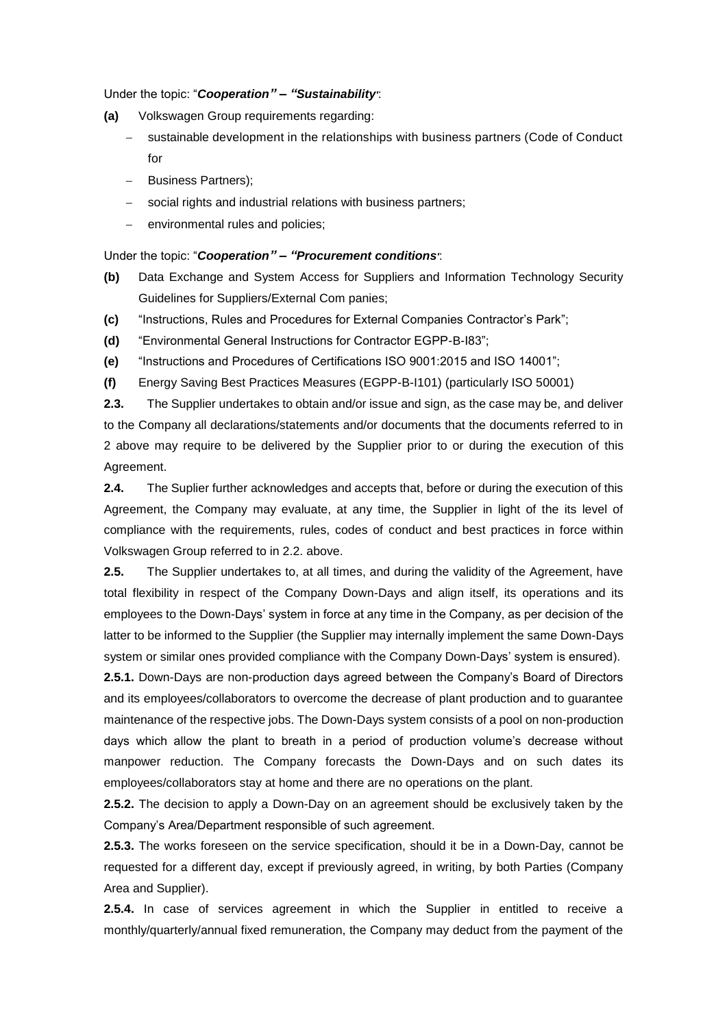Under the topic: "*Cooperation" – "Sustainability'*:

- **(a)** Volkswagen Group requirements regarding:
	- sustainable development in the relationships with business partners (Code of Conduct for
	- Business Partners);
	- social rights and industrial relations with business partners;
	- environmental rules and policies;

#### Under the topic: "*Cooperation" – "Procurement conditions'*:

- **(b)** Data Exchange and System Access for Suppliers and Information Technology Security Guidelines for Suppliers/External Com panies;
- **(c)** "Instructions, Rules and Procedures for External Companies Contractor's Park";
- **(d)** "Environmental General Instructions for Contractor EGPP-B-I83";
- **(e)** "Instructions and Procedures of Certifications ISO 9001:2015 and ISO 14001";
- **(f)** Energy Saving Best Practices Measures (EGPP-B-I101) (particularly ISO 50001)

**2.3.** The Supplier undertakes to obtain and/or issue and sign, as the case may be, and deliver to the Company all declarations/statements and/or documents that the documents referred to in 2 above may require to be delivered by the Supplier prior to or during the execution of this Agreement.

**2.4.** The Suplier further acknowledges and accepts that, before or during the execution of this Agreement, the Company may evaluate, at any time, the Supplier in light of the its level of compliance with the requirements, rules, codes of conduct and best practices in force within Volkswagen Group referred to in 2.2. above.

**2.5.** The Supplier undertakes to, at all times, and during the validity of the Agreement, have total flexibility in respect of the Company Down-Days and align itself, its operations and its employees to the Down-Days' system in force at any time in the Company, as per decision of the latter to be informed to the Supplier (the Supplier may internally implement the same Down-Days system or similar ones provided compliance with the Company Down-Days' system is ensured).

**2.5.1.** Down-Days are non-production days agreed between the Company's Board of Directors and its employees/collaborators to overcome the decrease of plant production and to guarantee maintenance of the respective jobs. The Down-Days system consists of a pool on non-production days which allow the plant to breath in a period of production volume's decrease without manpower reduction. The Company forecasts the Down-Days and on such dates its employees/collaborators stay at home and there are no operations on the plant.

**2.5.2.** The decision to apply a Down-Day on an agreement should be exclusively taken by the Company's Area/Department responsible of such agreement.

**2.5.3.** The works foreseen on the service specification, should it be in a Down-Day, cannot be requested for a different day, except if previously agreed, in writing, by both Parties (Company Area and Supplier).

**2.5.4.** In case of services agreement in which the Supplier in entitled to receive a monthly/quarterly/annual fixed remuneration, the Company may deduct from the payment of the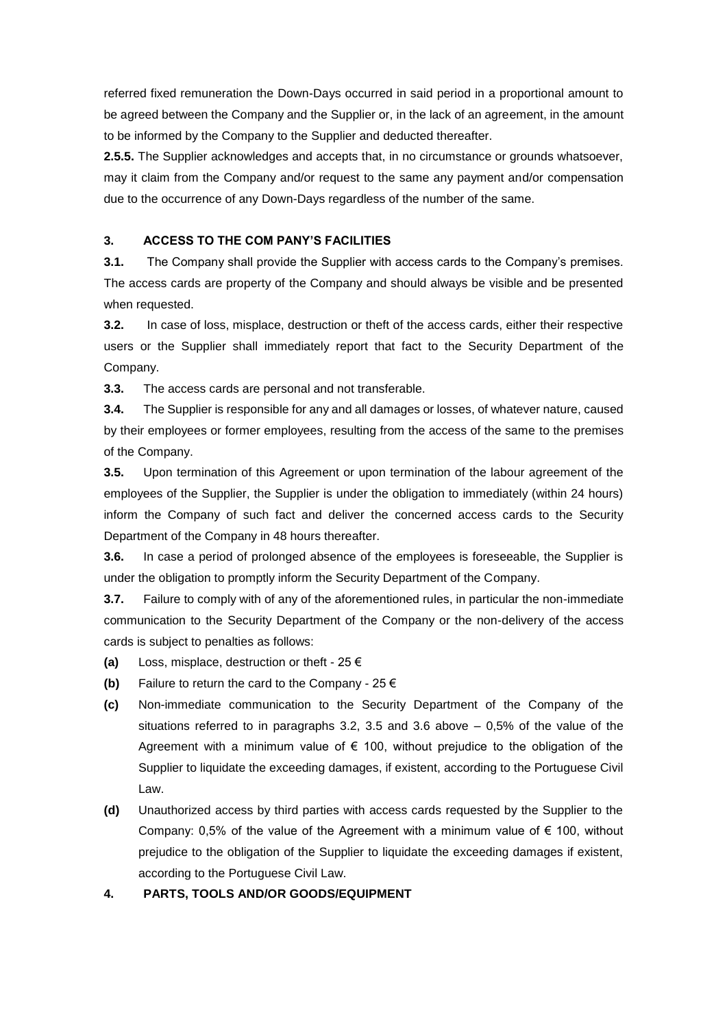referred fixed remuneration the Down-Days occurred in said period in a proportional amount to be agreed between the Company and the Supplier or, in the lack of an agreement, in the amount to be informed by the Company to the Supplier and deducted thereafter.

**2.5.5.** The Supplier acknowledges and accepts that, in no circumstance or grounds whatsoever, may it claim from the Company and/or request to the same any payment and/or compensation due to the occurrence of any Down-Days regardless of the number of the same.

### **3. ACCESS TO THE COM PANY'S FACILITIES**

**3.1.** The Company shall provide the Supplier with access cards to the Company's premises. The access cards are property of the Company and should always be visible and be presented when requested.

**3.2.** In case of loss, misplace, destruction or theft of the access cards, either their respective users or the Supplier shall immediately report that fact to the Security Department of the Company.

**3.3.** The access cards are personal and not transferable.

**3.4.** The Supplier is responsible for any and all damages or losses, of whatever nature, caused by their employees or former employees, resulting from the access of the same to the premises of the Company.

**3.5.** Upon termination of this Agreement or upon termination of the labour agreement of the employees of the Supplier, the Supplier is under the obligation to immediately (within 24 hours) inform the Company of such fact and deliver the concerned access cards to the Security Department of the Company in 48 hours thereafter.

**3.6.** In case a period of prolonged absence of the employees is foreseeable, the Supplier is under the obligation to promptly inform the Security Department of the Company.

**3.7.** Failure to comply with of any of the aforementioned rules, in particular the non-immediate communication to the Security Department of the Company or the non-delivery of the access cards is subject to penalties as follows:

- **(a)** Loss, misplace, destruction or theft 25 €
- **(b)** Failure to return the card to the Company 25 €
- **(c)** Non-immediate communication to the Security Department of the Company of the situations referred to in paragraphs  $3.2$ ,  $3.5$  and  $3.6$  above  $-0.5\%$  of the value of the Agreement with a minimum value of  $\epsilon$  100, without prejudice to the obligation of the Supplier to liquidate the exceeding damages, if existent, according to the Portuguese Civil Law.
- **(d)** Unauthorized access by third parties with access cards requested by the Supplier to the Company: 0,5% of the value of the Agreement with a minimum value of  $\epsilon$  100, without prejudice to the obligation of the Supplier to liquidate the exceeding damages if existent, according to the Portuguese Civil Law.

# **4. PARTS, TOOLS AND/OR GOODS/EQUIPMENT**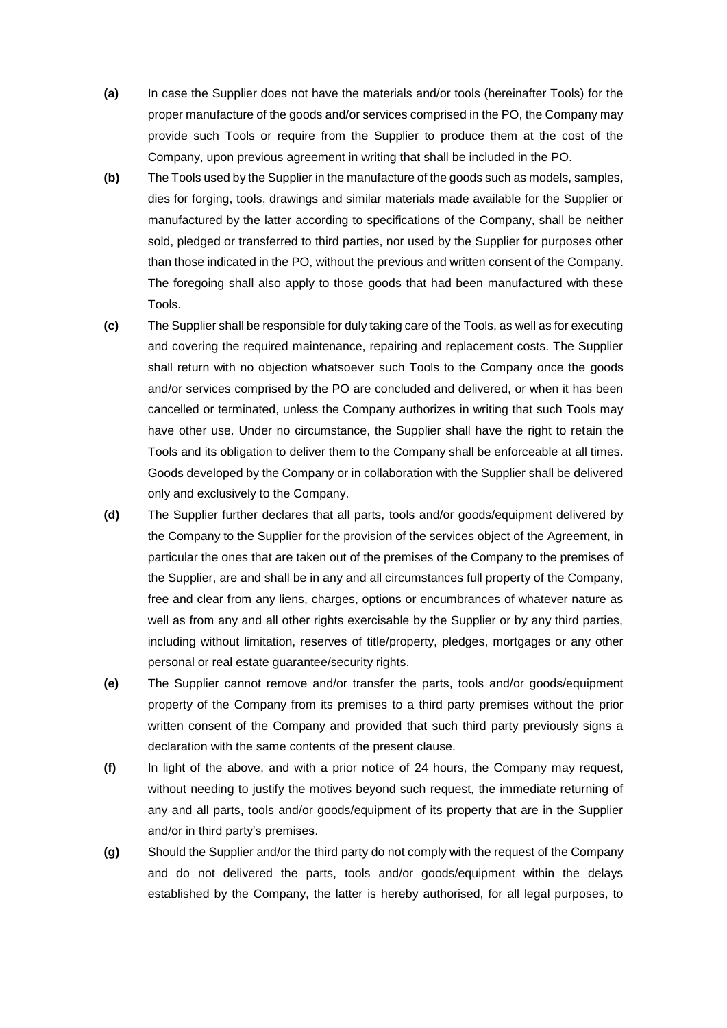- **(a)** In case the Supplier does not have the materials and/or tools (hereinafter Tools) for the proper manufacture of the goods and/or services comprised in the PO, the Company may provide such Tools or require from the Supplier to produce them at the cost of the Company, upon previous agreement in writing that shall be included in the PO.
- **(b)** The Tools used by the Supplier in the manufacture of the goods such as models, samples, dies for forging, tools, drawings and similar materials made available for the Supplier or manufactured by the latter according to specifications of the Company, shall be neither sold, pledged or transferred to third parties, nor used by the Supplier for purposes other than those indicated in the PO, without the previous and written consent of the Company. The foregoing shall also apply to those goods that had been manufactured with these Tools.
- **(c)** The Supplier shall be responsible for duly taking care of the Tools, as well as for executing and covering the required maintenance, repairing and replacement costs. The Supplier shall return with no objection whatsoever such Tools to the Company once the goods and/or services comprised by the PO are concluded and delivered, or when it has been cancelled or terminated, unless the Company authorizes in writing that such Tools may have other use. Under no circumstance, the Supplier shall have the right to retain the Tools and its obligation to deliver them to the Company shall be enforceable at all times. Goods developed by the Company or in collaboration with the Supplier shall be delivered only and exclusively to the Company.
- **(d)** The Supplier further declares that all parts, tools and/or goods/equipment delivered by the Company to the Supplier for the provision of the services object of the Agreement, in particular the ones that are taken out of the premises of the Company to the premises of the Supplier, are and shall be in any and all circumstances full property of the Company, free and clear from any liens, charges, options or encumbrances of whatever nature as well as from any and all other rights exercisable by the Supplier or by any third parties, including without limitation, reserves of title/property, pledges, mortgages or any other personal or real estate guarantee/security rights.
- **(e)** The Supplier cannot remove and/or transfer the parts, tools and/or goods/equipment property of the Company from its premises to a third party premises without the prior written consent of the Company and provided that such third party previously signs a declaration with the same contents of the present clause.
- **(f)** In light of the above, and with a prior notice of 24 hours, the Company may request, without needing to justify the motives beyond such request, the immediate returning of any and all parts, tools and/or goods/equipment of its property that are in the Supplier and/or in third party's premises.
- **(g)** Should the Supplier and/or the third party do not comply with the request of the Company and do not delivered the parts, tools and/or goods/equipment within the delays established by the Company, the latter is hereby authorised, for all legal purposes, to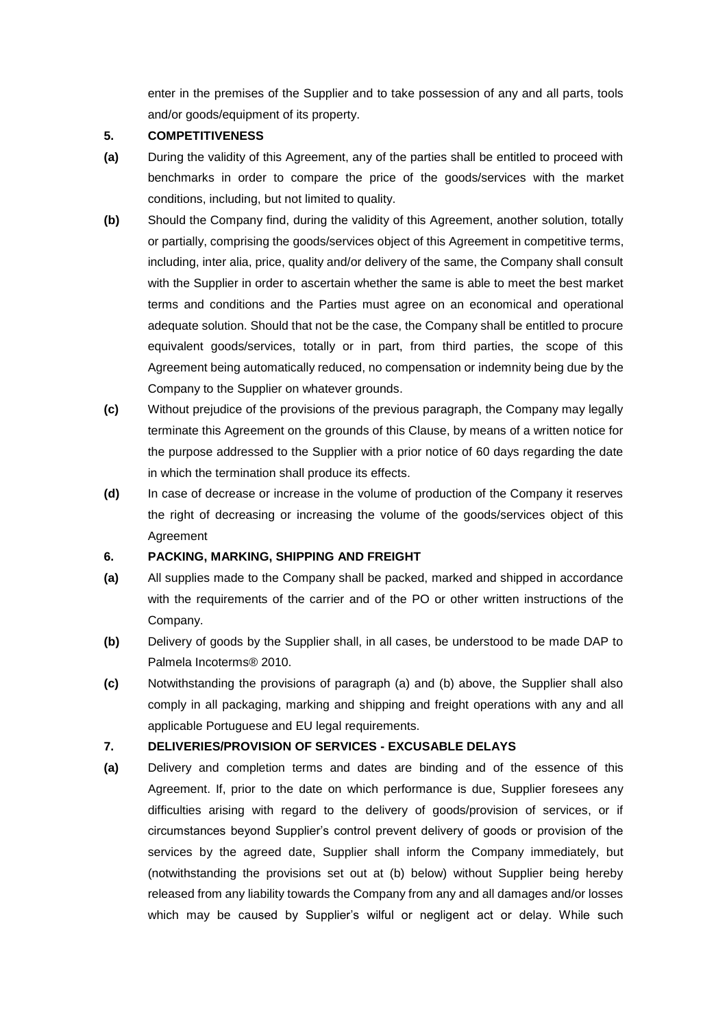enter in the premises of the Supplier and to take possession of any and all parts, tools and/or goods/equipment of its property.

### **5. COMPETITIVENESS**

- **(a)** During the validity of this Agreement, any of the parties shall be entitled to proceed with benchmarks in order to compare the price of the goods/services with the market conditions, including, but not limited to quality.
- **(b)** Should the Company find, during the validity of this Agreement, another solution, totally or partially, comprising the goods/services object of this Agreement in competitive terms, including, inter alia, price, quality and/or delivery of the same, the Company shall consult with the Supplier in order to ascertain whether the same is able to meet the best market terms and conditions and the Parties must agree on an economical and operational adequate solution. Should that not be the case, the Company shall be entitled to procure equivalent goods/services, totally or in part, from third parties, the scope of this Agreement being automatically reduced, no compensation or indemnity being due by the Company to the Supplier on whatever grounds.
- **(c)** Without prejudice of the provisions of the previous paragraph, the Company may legally terminate this Agreement on the grounds of this Clause, by means of a written notice for the purpose addressed to the Supplier with a prior notice of 60 days regarding the date in which the termination shall produce its effects.
- **(d)** In case of decrease or increase in the volume of production of the Company it reserves the right of decreasing or increasing the volume of the goods/services object of this Agreement

# **6. PACKING, MARKING, SHIPPING AND FREIGHT**

- **(a)** All supplies made to the Company shall be packed, marked and shipped in accordance with the requirements of the carrier and of the PO or other written instructions of the Company.
- **(b)** Delivery of goods by the Supplier shall, in all cases, be understood to be made DAP to Palmela Incoterms® 2010.
- **(c)** Notwithstanding the provisions of paragraph (a) and (b) above, the Supplier shall also comply in all packaging, marking and shipping and freight operations with any and all applicable Portuguese and EU legal requirements.

# **7. DELIVERIES/PROVISION OF SERVICES - EXCUSABLE DELAYS**

**(a)** Delivery and completion terms and dates are binding and of the essence of this Agreement. If, prior to the date on which performance is due, Supplier foresees any difficulties arising with regard to the delivery of goods/provision of services, or if circumstances beyond Supplier's control prevent delivery of goods or provision of the services by the agreed date, Supplier shall inform the Company immediately, but (notwithstanding the provisions set out at (b) below) without Supplier being hereby released from any liability towards the Company from any and all damages and/or losses which may be caused by Supplier's wilful or negligent act or delay. While such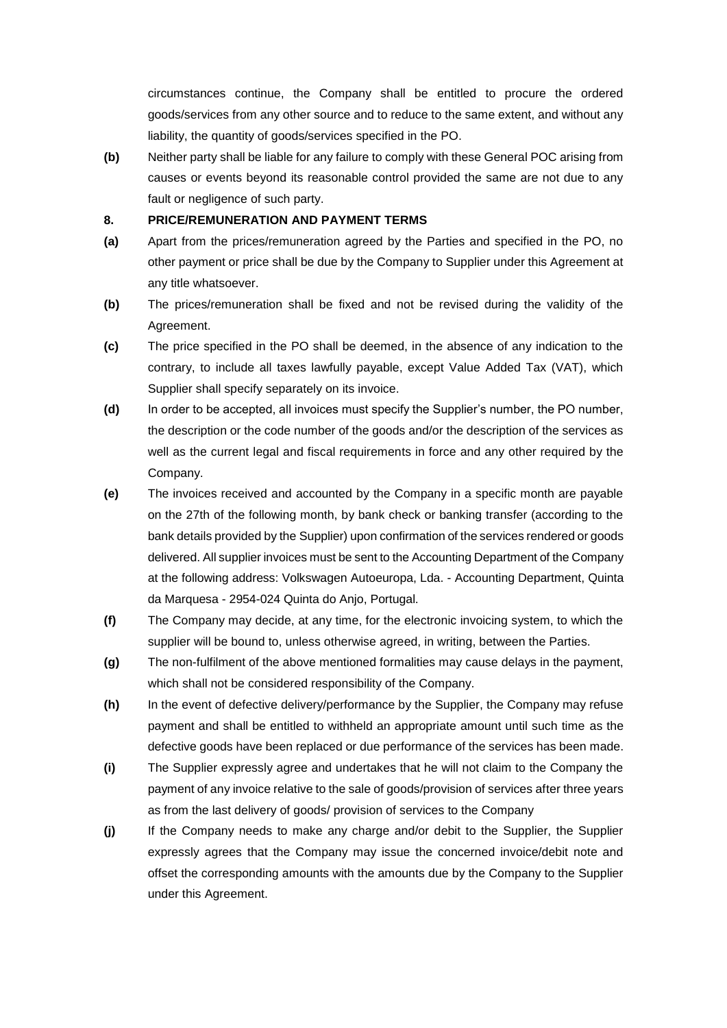circumstances continue, the Company shall be entitled to procure the ordered goods/services from any other source and to reduce to the same extent, and without any liability, the quantity of goods/services specified in the PO.

**(b)** Neither party shall be liable for any failure to comply with these General POC arising from causes or events beyond its reasonable control provided the same are not due to any fault or negligence of such party.

#### **8. PRICE/REMUNERATION AND PAYMENT TERMS**

- **(a)** Apart from the prices/remuneration agreed by the Parties and specified in the PO, no other payment or price shall be due by the Company to Supplier under this Agreement at any title whatsoever.
- **(b)** The prices/remuneration shall be fixed and not be revised during the validity of the Agreement.
- **(c)** The price specified in the PO shall be deemed, in the absence of any indication to the contrary, to include all taxes lawfully payable, except Value Added Tax (VAT), which Supplier shall specify separately on its invoice.
- **(d)** In order to be accepted, all invoices must specify the Supplier's number, the PO number, the description or the code number of the goods and/or the description of the services as well as the current legal and fiscal requirements in force and any other required by the Company.
- **(e)** The invoices received and accounted by the Company in a specific month are payable on the 27th of the following month, by bank check or banking transfer (according to the bank details provided by the Supplier) upon confirmation of the services rendered or goods delivered. All supplier invoices must be sent to the Accounting Department of the Company at the following address: Volkswagen Autoeuropa, Lda. - Accounting Department, Quinta da Marquesa - 2954-024 Quinta do Anjo, Portugal.
- **(f)** The Company may decide, at any time, for the electronic invoicing system, to which the supplier will be bound to, unless otherwise agreed, in writing, between the Parties.
- **(g)** The non-fulfilment of the above mentioned formalities may cause delays in the payment, which shall not be considered responsibility of the Company.
- **(h)** In the event of defective delivery/performance by the Supplier, the Company may refuse payment and shall be entitled to withheld an appropriate amount until such time as the defective goods have been replaced or due performance of the services has been made.
- **(i)** The Supplier expressly agree and undertakes that he will not claim to the Company the payment of any invoice relative to the sale of goods/provision of services after three years as from the last delivery of goods/ provision of services to the Company
- **(j)** If the Company needs to make any charge and/or debit to the Supplier, the Supplier expressly agrees that the Company may issue the concerned invoice/debit note and offset the corresponding amounts with the amounts due by the Company to the Supplier under this Agreement.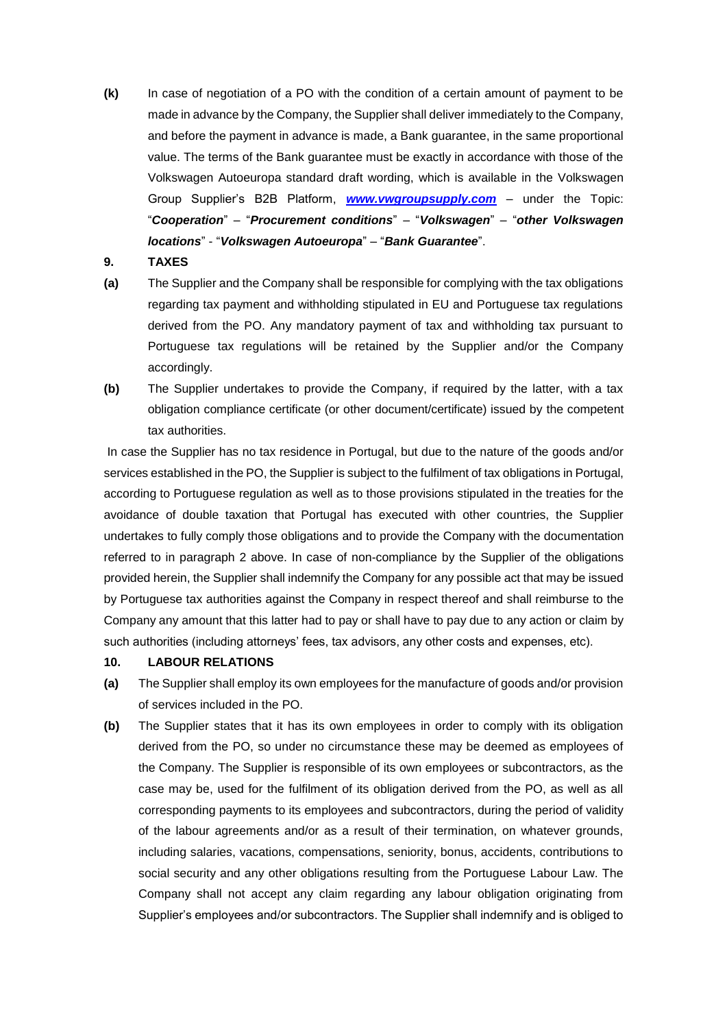- **(k)** In case of negotiation of a PO with the condition of a certain amount of payment to be made in advance by the Company, the Supplier shall deliver immediately to the Company, and before the payment in advance is made, a Bank guarantee, in the same proportional value. The terms of the Bank guarantee must be exactly in accordance with those of the Volkswagen Autoeuropa standard draft wording, which is available in the Volkswagen Group Supplier's B2B Platform, *[www.vwgroupsupply.com](http://www.vwgroupsupply.com/)* – under the Topic: "*Cooperation*" – "*Procurement conditions*" – "*Volkswagen*" – "*other Volkswagen locations*" - "*Volkswagen Autoeuropa*" – "*Bank Guarantee*".
- **9. TAXES**
- **(a)** The Supplier and the Company shall be responsible for complying with the tax obligations regarding tax payment and withholding stipulated in EU and Portuguese tax regulations derived from the PO. Any mandatory payment of tax and withholding tax pursuant to Portuguese tax regulations will be retained by the Supplier and/or the Company accordingly.
- **(b)** The Supplier undertakes to provide the Company, if required by the latter, with a tax obligation compliance certificate (or other document/certificate) issued by the competent tax authorities.

In case the Supplier has no tax residence in Portugal, but due to the nature of the goods and/or services established in the PO, the Supplier is subject to the fulfilment of tax obligations in Portugal, according to Portuguese regulation as well as to those provisions stipulated in the treaties for the avoidance of double taxation that Portugal has executed with other countries, the Supplier undertakes to fully comply those obligations and to provide the Company with the documentation referred to in paragraph 2 above. In case of non-compliance by the Supplier of the obligations provided herein, the Supplier shall indemnify the Company for any possible act that may be issued by Portuguese tax authorities against the Company in respect thereof and shall reimburse to the Company any amount that this latter had to pay or shall have to pay due to any action or claim by such authorities (including attorneys' fees, tax advisors, any other costs and expenses, etc).

# **10. LABOUR RELATIONS**

- **(a)** The Supplier shall employ its own employees for the manufacture of goods and/or provision of services included in the PO.
- **(b)** The Supplier states that it has its own employees in order to comply with its obligation derived from the PO, so under no circumstance these may be deemed as employees of the Company. The Supplier is responsible of its own employees or subcontractors, as the case may be, used for the fulfilment of its obligation derived from the PO, as well as all corresponding payments to its employees and subcontractors, during the period of validity of the labour agreements and/or as a result of their termination, on whatever grounds, including salaries, vacations, compensations, seniority, bonus, accidents, contributions to social security and any other obligations resulting from the Portuguese Labour Law. The Company shall not accept any claim regarding any labour obligation originating from Supplier's employees and/or subcontractors. The Supplier shall indemnify and is obliged to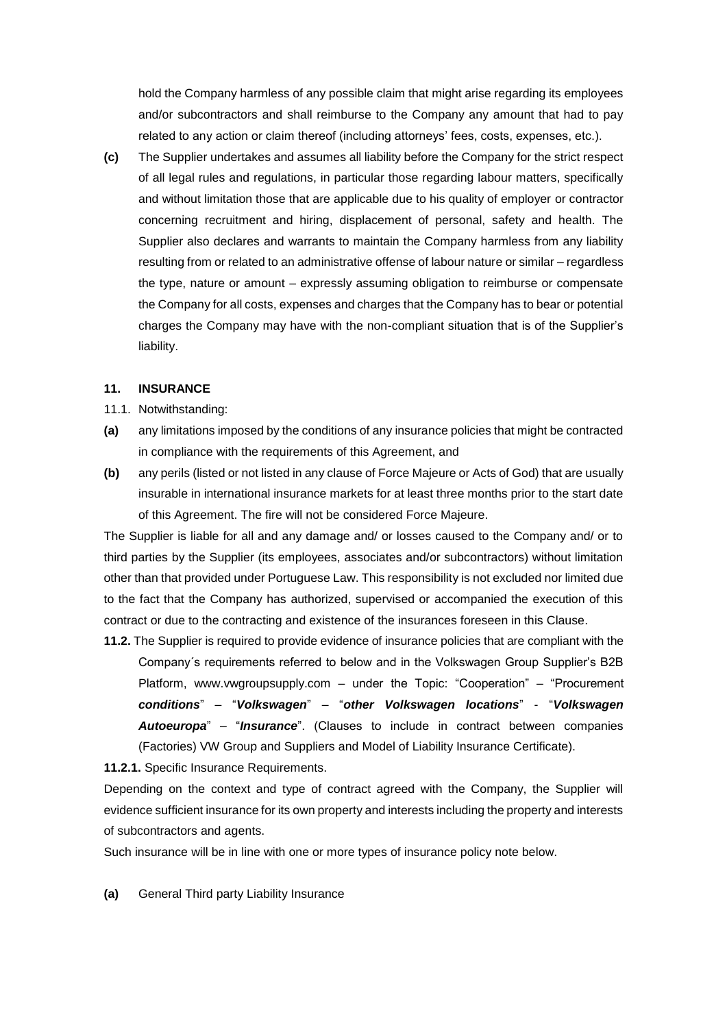hold the Company harmless of any possible claim that might arise regarding its employees and/or subcontractors and shall reimburse to the Company any amount that had to pay related to any action or claim thereof (including attorneys' fees, costs, expenses, etc.).

**(c)** The Supplier undertakes and assumes all liability before the Company for the strict respect of all legal rules and regulations, in particular those regarding labour matters, specifically and without limitation those that are applicable due to his quality of employer or contractor concerning recruitment and hiring, displacement of personal, safety and health. The Supplier also declares and warrants to maintain the Company harmless from any liability resulting from or related to an administrative offense of labour nature or similar – regardless the type, nature or amount – expressly assuming obligation to reimburse or compensate the Company for all costs, expenses and charges that the Company has to bear or potential charges the Company may have with the non-compliant situation that is of the Supplier's liability.

#### **11. INSURANCE**

- 11.1. Notwithstanding:
- **(a)** any limitations imposed by the conditions of any insurance policies that might be contracted in compliance with the requirements of this Agreement, and
- **(b)** any perils (listed or not listed in any clause of Force Majeure or Acts of God) that are usually insurable in international insurance markets for at least three months prior to the start date of this Agreement. The fire will not be considered Force Majeure.

The Supplier is liable for all and any damage and/ or losses caused to the Company and/ or to third parties by the Supplier (its employees, associates and/or subcontractors) without limitation other than that provided under Portuguese Law. This responsibility is not excluded nor limited due to the fact that the Company has authorized, supervised or accompanied the execution of this contract or due to the contracting and existence of the insurances foreseen in this Clause.

**11.2.** The Supplier is required to provide evidence of insurance policies that are compliant with the Company´s requirements referred to below and in the Volkswagen Group Supplier's B2B Platform, [www.vwgroupsupply.com](http://www.vwgroupsupply.com/) – under the Topic: "Cooperation" – "Procurement *conditions*" – "*Volkswagen*" – "*other Volkswagen locations*" - "*Volkswagen Autoeuropa*" – "*Insurance*". (Clauses to include in contract between companies (Factories) VW Group and Suppliers and Model of Liability Insurance Certificate).

**11.2.1.** Specific Insurance Requirements.

Depending on the context and type of contract agreed with the Company, the Supplier will evidence sufficient insurance for its own property and interests including the property and interests of subcontractors and agents.

Such insurance will be in line with one or more types of insurance policy note below.

**(a)** General Third party Liability Insurance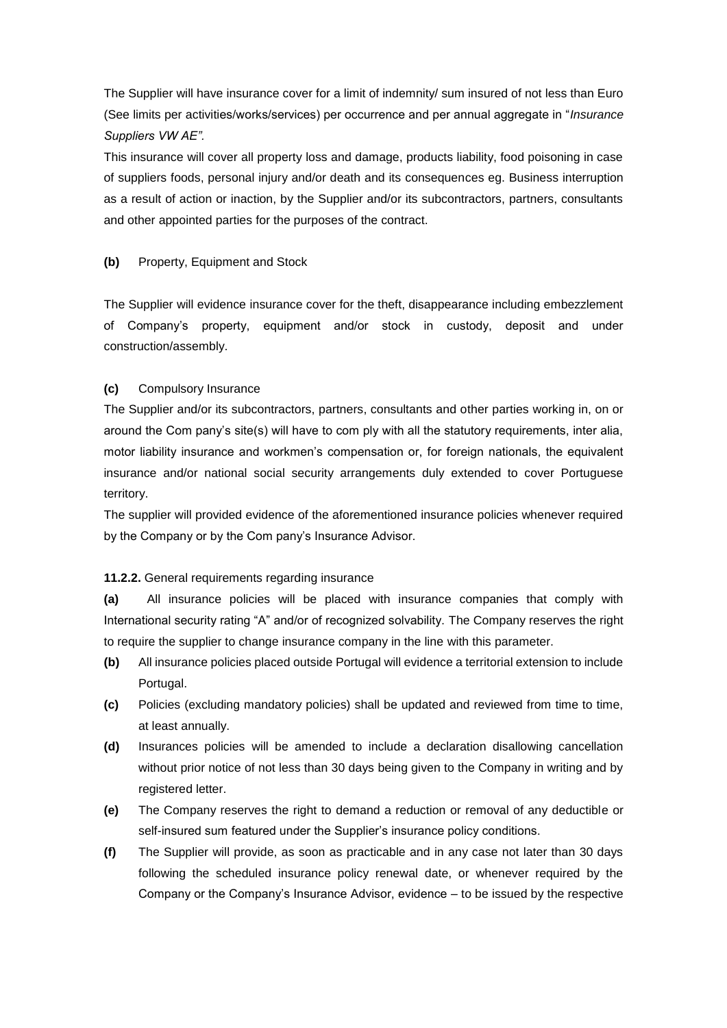The Supplier will have insurance cover for a limit of indemnity/ sum insured of not less than Euro (See limits per activities/works/services) per occurrence and per annual aggregate in "*Insurance Suppliers VW AE".*

This insurance will cover all property loss and damage, products liability, food poisoning in case of suppliers foods, personal injury and/or death and its consequences eg. Business interruption as a result of action or inaction, by the Supplier and/or its subcontractors, partners, consultants and other appointed parties for the purposes of the contract.

### **(b)** Property, Equipment and Stock

The Supplier will evidence insurance cover for the theft, disappearance including embezzlement of Company's property, equipment and/or stock in custody, deposit and under construction/assembly.

### **(c)** Compulsory Insurance

The Supplier and/or its subcontractors, partners, consultants and other parties working in, on or around the Com pany's site(s) will have to com ply with all the statutory requirements, inter alia, motor liability insurance and workmen's compensation or, for foreign nationals, the equivalent insurance and/or national social security arrangements duly extended to cover Portuguese territory.

The supplier will provided evidence of the aforementioned insurance policies whenever required by the Company or by the Com pany's Insurance Advisor.

#### **11.2.2.** General requirements regarding insurance

**(a)** All insurance policies will be placed with insurance companies that comply with International security rating "A" and/or of recognized solvability. The Company reserves the right to require the supplier to change insurance company in the line with this parameter.

- **(b)** All insurance policies placed outside Portugal will evidence a territorial extension to include Portugal.
- **(c)** Policies (excluding mandatory policies) shall be updated and reviewed from time to time, at least annually.
- **(d)** Insurances policies will be amended to include a declaration disallowing cancellation without prior notice of not less than 30 days being given to the Company in writing and by registered letter.
- **(e)** The Company reserves the right to demand a reduction or removal of any deductible or self-insured sum featured under the Supplier's insurance policy conditions.
- **(f)** The Supplier will provide, as soon as practicable and in any case not later than 30 days following the scheduled insurance policy renewal date, or whenever required by the Company or the Company's Insurance Advisor, evidence – to be issued by the respective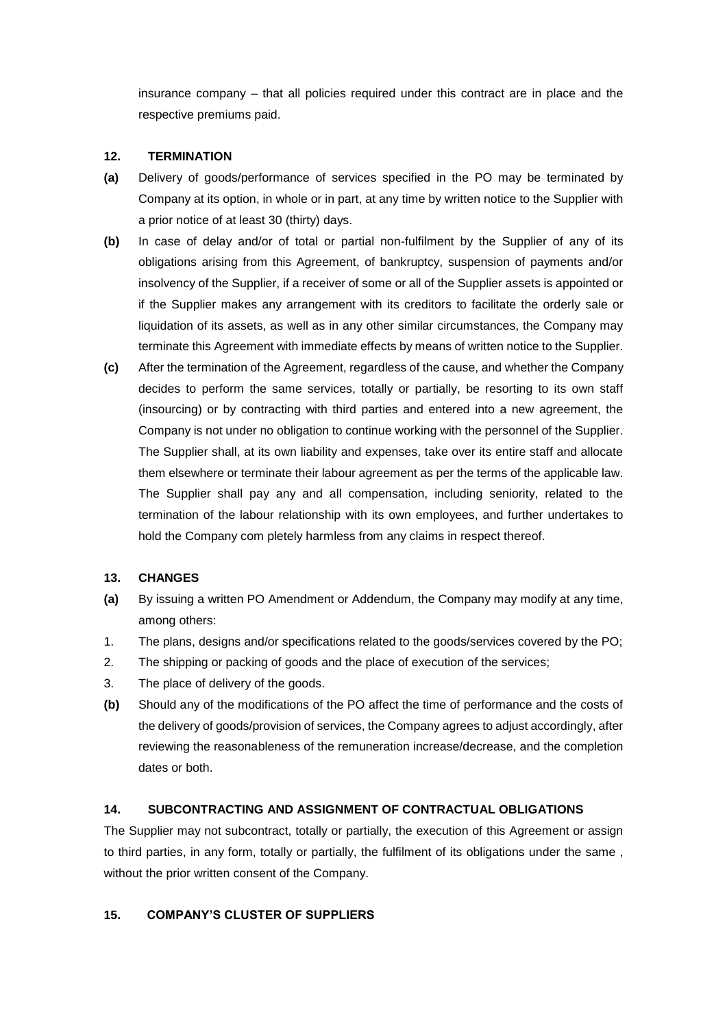insurance company – that all policies required under this contract are in place and the respective premiums paid.

### **12. TERMINATION**

- **(a)** Delivery of goods/performance of services specified in the PO may be terminated by Company at its option, in whole or in part, at any time by written notice to the Supplier with a prior notice of at least 30 (thirty) days.
- **(b)** In case of delay and/or of total or partial non-fulfilment by the Supplier of any of its obligations arising from this Agreement, of bankruptcy, suspension of payments and/or insolvency of the Supplier, if a receiver of some or all of the Supplier assets is appointed or if the Supplier makes any arrangement with its creditors to facilitate the orderly sale or liquidation of its assets, as well as in any other similar circumstances, the Company may terminate this Agreement with immediate effects by means of written notice to the Supplier.
- **(c)** After the termination of the Agreement, regardless of the cause, and whether the Company decides to perform the same services, totally or partially, be resorting to its own staff (insourcing) or by contracting with third parties and entered into a new agreement, the Company is not under no obligation to continue working with the personnel of the Supplier. The Supplier shall, at its own liability and expenses, take over its entire staff and allocate them elsewhere or terminate their labour agreement as per the terms of the applicable law. The Supplier shall pay any and all compensation, including seniority, related to the termination of the labour relationship with its own employees, and further undertakes to hold the Company com pletely harmless from any claims in respect thereof.

# **13. CHANGES**

- **(a)** By issuing a written PO Amendment or Addendum, the Company may modify at any time, among others:
- 1. The plans, designs and/or specifications related to the goods/services covered by the PO;
- 2. The shipping or packing of goods and the place of execution of the services;
- 3. The place of delivery of the goods.
- **(b)** Should any of the modifications of the PO affect the time of performance and the costs of the delivery of goods/provision of services, the Company agrees to adjust accordingly, after reviewing the reasonableness of the remuneration increase/decrease, and the completion dates or both.

# **14. SUBCONTRACTING AND ASSIGNMENT OF CONTRACTUAL OBLIGATIONS**

The Supplier may not subcontract, totally or partially, the execution of this Agreement or assign to third parties, in any form, totally or partially, the fulfilment of its obligations under the same , without the prior written consent of the Company.

# **15. COMPANY'S CLUSTER OF SUPPLIERS**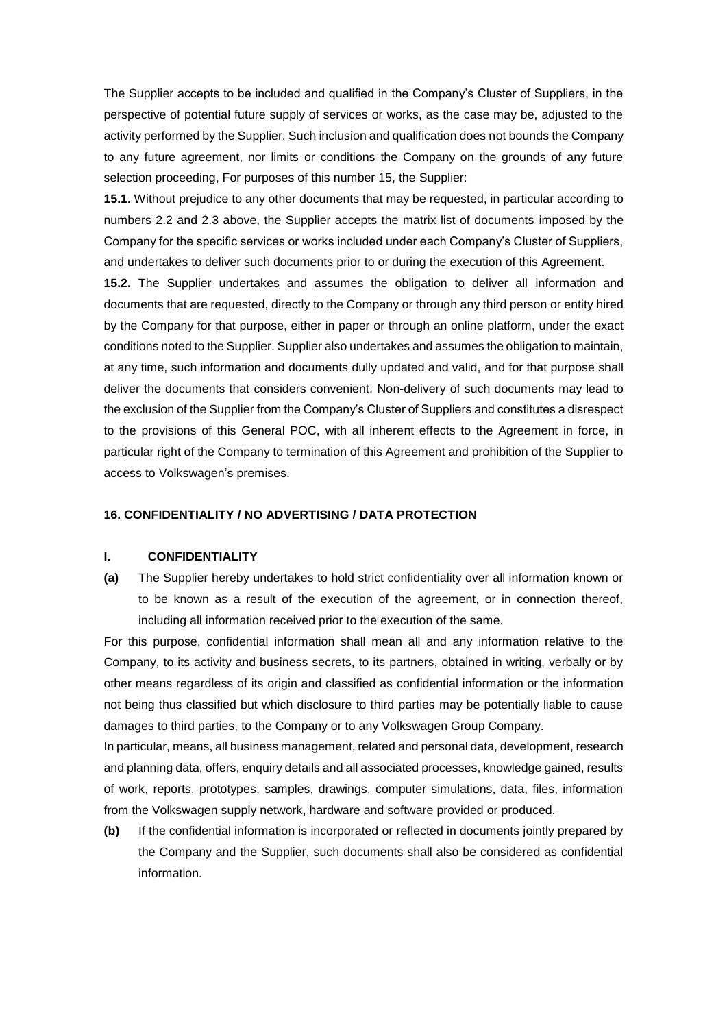The Supplier accepts to be included and qualified in the Company's Cluster of Suppliers, in the perspective of potential future supply of services or works, as the case may be, adjusted to the activity performed by the Supplier. Such inclusion and qualification does not bounds the Company to any future agreement, nor limits or conditions the Company on the grounds of any future selection proceeding, For purposes of this number 15, the Supplier:

**15.1.** Without prejudice to any other documents that may be requested, in particular according to numbers 2.2 and 2.3 above, the Supplier accepts the matrix list of documents imposed by the Company for the specific services or works included under each Company's Cluster of Suppliers, and undertakes to deliver such documents prior to or during the execution of this Agreement.

**15.2.** The Supplier undertakes and assumes the obligation to deliver all information and documents that are requested, directly to the Company or through any third person or entity hired by the Company for that purpose, either in paper or through an online platform, under the exact conditions noted to the Supplier. Supplier also undertakes and assumes the obligation to maintain, at any time, such information and documents dully updated and valid, and for that purpose shall deliver the documents that considers convenient. Non-delivery of such documents may lead to the exclusion of the Supplier from the Company's Cluster of Suppliers and constitutes a disrespect to the provisions of this General POC, with all inherent effects to the Agreement in force, in particular right of the Company to termination of this Agreement and prohibition of the Supplier to access to Volkswagen's premises.

#### **16. CONFIDENTIALITY / NO ADVERTISING / DATA PROTECTION**

#### **I. CONFIDENTIALITY**

**(a)** The Supplier hereby undertakes to hold strict confidentiality over all information known or to be known as a result of the execution of the agreement, or in connection thereof, including all information received prior to the execution of the same.

For this purpose, confidential information shall mean all and any information relative to the Company, to its activity and business secrets, to its partners, obtained in writing, verbally or by other means regardless of its origin and classified as confidential information or the information not being thus classified but which disclosure to third parties may be potentially liable to cause damages to third parties, to the Company or to any Volkswagen Group Company.

In particular, means, all business management, related and personal data, development, research and planning data, offers, enquiry details and all associated processes, knowledge gained, results of work, reports, prototypes, samples, drawings, computer simulations, data, files, information from the Volkswagen supply network, hardware and software provided or produced.

**(b)** If the confidential information is incorporated or reflected in documents jointly prepared by the Company and the Supplier, such documents shall also be considered as confidential information.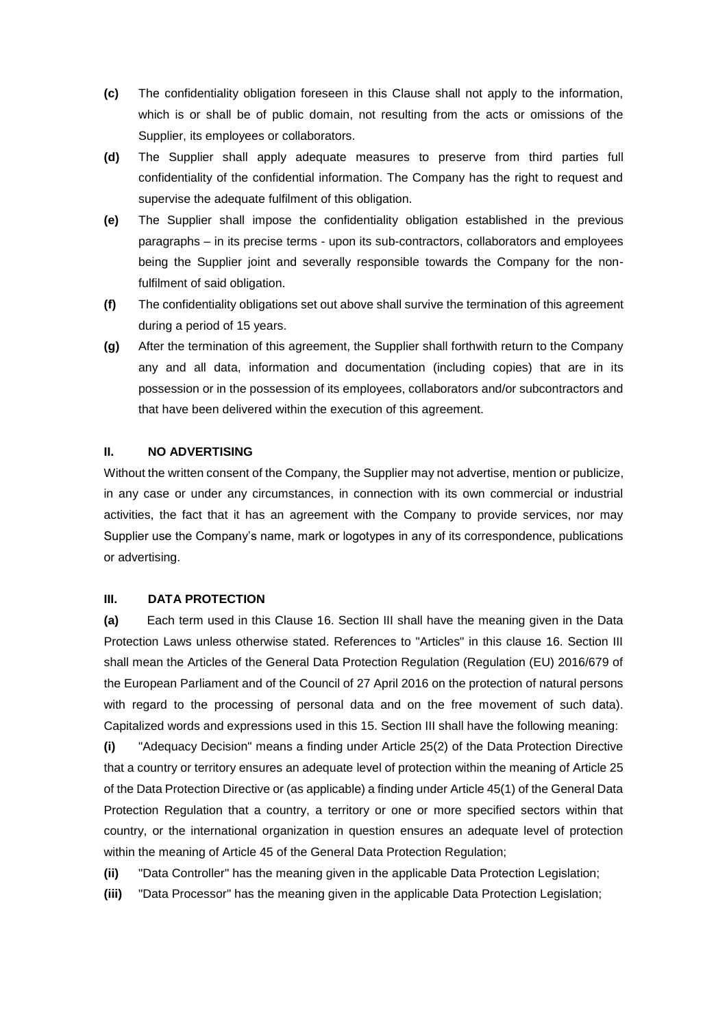- **(c)** The confidentiality obligation foreseen in this Clause shall not apply to the information, which is or shall be of public domain, not resulting from the acts or omissions of the Supplier, its employees or collaborators.
- **(d)** The Supplier shall apply adequate measures to preserve from third parties full confidentiality of the confidential information. The Company has the right to request and supervise the adequate fulfilment of this obligation.
- **(e)** The Supplier shall impose the confidentiality obligation established in the previous paragraphs – in its precise terms - upon its sub-contractors, collaborators and employees being the Supplier joint and severally responsible towards the Company for the nonfulfilment of said obligation.
- **(f)** The confidentiality obligations set out above shall survive the termination of this agreement during a period of 15 years.
- **(g)** After the termination of this agreement, the Supplier shall forthwith return to the Company any and all data, information and documentation (including copies) that are in its possession or in the possession of its employees, collaborators and/or subcontractors and that have been delivered within the execution of this agreement.

#### **II. NO ADVERTISING**

Without the written consent of the Company, the Supplier may not advertise, mention or publicize, in any case or under any circumstances, in connection with its own commercial or industrial activities, the fact that it has an agreement with the Company to provide services, nor may Supplier use the Company's name, mark or logotypes in any of its correspondence, publications or advertising.

#### **III. DATA PROTECTION**

**(a)** Each term used in this Clause 16. Section III shall have the meaning given in the Data Protection Laws unless otherwise stated. References to "Articles" in this clause 16. Section III shall mean the Articles of the General Data Protection Regulation (Regulation (EU) 2016/679 of the European Parliament and of the Council of 27 April 2016 on the protection of natural persons with regard to the processing of personal data and on the free movement of such data). Capitalized words and expressions used in this 15. Section III shall have the following meaning:

**(i)** "Adequacy Decision" means a finding under Article 25(2) of the Data Protection Directive that a country or territory ensures an adequate level of protection within the meaning of Article 25 of the Data Protection Directive or (as applicable) a finding under Article 45(1) of the General Data Protection Regulation that a country, a territory or one or more specified sectors within that country, or the international organization in question ensures an adequate level of protection within the meaning of Article 45 of the General Data Protection Regulation;

**(ii)** "Data Controller" has the meaning given in the applicable Data Protection Legislation;

**(iii)** "Data Processor" has the meaning given in the applicable Data Protection Legislation;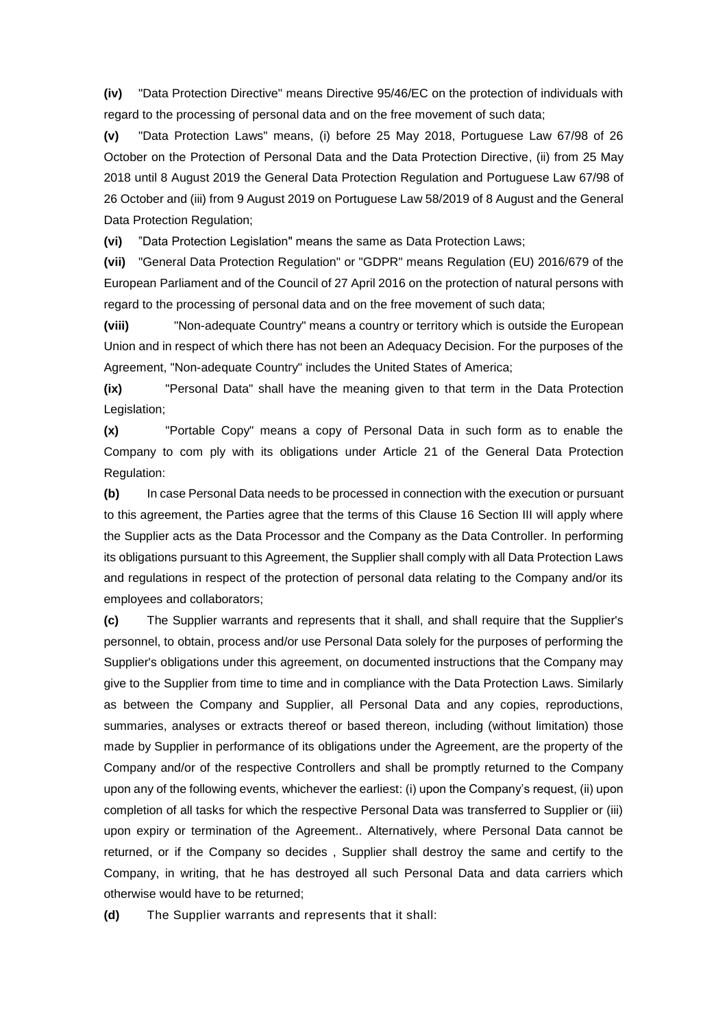**(iv)** "Data Protection Directive" means Directive 95/46/EC on the protection of individuals with regard to the processing of personal data and on the free movement of such data;

**(v)** "Data Protection Laws" means, (i) before 25 May 2018, Portuguese Law 67/98 of 26 October on the Protection of Personal Data and the Data Protection Directive, (ii) from 25 May 2018 until 8 August 2019 the General Data Protection Regulation and Portuguese Law 67/98 of 26 October and (iii) from 9 August 2019 on Portuguese Law 58/2019 of 8 August and the General Data Protection Regulation;

**(vi)** "Data Protection Legislation" means the same as Data Protection Laws;

**(vii)** "General Data Protection Regulation" or "GDPR" means Regulation (EU) 2016/679 of the European Parliament and of the Council of 27 April 2016 on the protection of natural persons with regard to the processing of personal data and on the free movement of such data;

**(viii)** "Non-adequate Country" means a country or territory which is outside the European Union and in respect of which there has not been an Adequacy Decision. For the purposes of the Agreement, "Non-adequate Country" includes the United States of America;

**(ix)** "Personal Data" shall have the meaning given to that term in the Data Protection Legislation;

**(x)** "Portable Copy" means a copy of Personal Data in such form as to enable the Company to com ply with its obligations under Article 21 of the General Data Protection Regulation:

**(b)** In case Personal Data needs to be processed in connection with the execution or pursuant to this agreement, the Parties agree that the terms of this Clause 16 Section III will apply where the Supplier acts as the Data Processor and the Company as the Data Controller. In performing its obligations pursuant to this Agreement, the Supplier shall comply with all Data Protection Laws and regulations in respect of the protection of personal data relating to the Company and/or its employees and collaborators;

**(c)** The Supplier warrants and represents that it shall, and shall require that the Supplier's personnel, to obtain, process and/or use Personal Data solely for the purposes of performing the Supplier's obligations under this agreement, on documented instructions that the Company may give to the Supplier from time to time and in compliance with the Data Protection Laws. Similarly as between the Company and Supplier, all Personal Data and any copies, reproductions, summaries, analyses or extracts thereof or based thereon, including (without limitation) those made by Supplier in performance of its obligations under the Agreement, are the property of the Company and/or of the respective Controllers and shall be promptly returned to the Company upon any of the following events, whichever the earliest: (i) upon the Company's request, (ii) upon completion of all tasks for which the respective Personal Data was transferred to Supplier or (iii) upon expiry or termination of the Agreement.. Alternatively, where Personal Data cannot be returned, or if the Company so decides , Supplier shall destroy the same and certify to the Company, in writing, that he has destroyed all such Personal Data and data carriers which otherwise would have to be returned;

**(d)** The Supplier warrants and represents that it shall: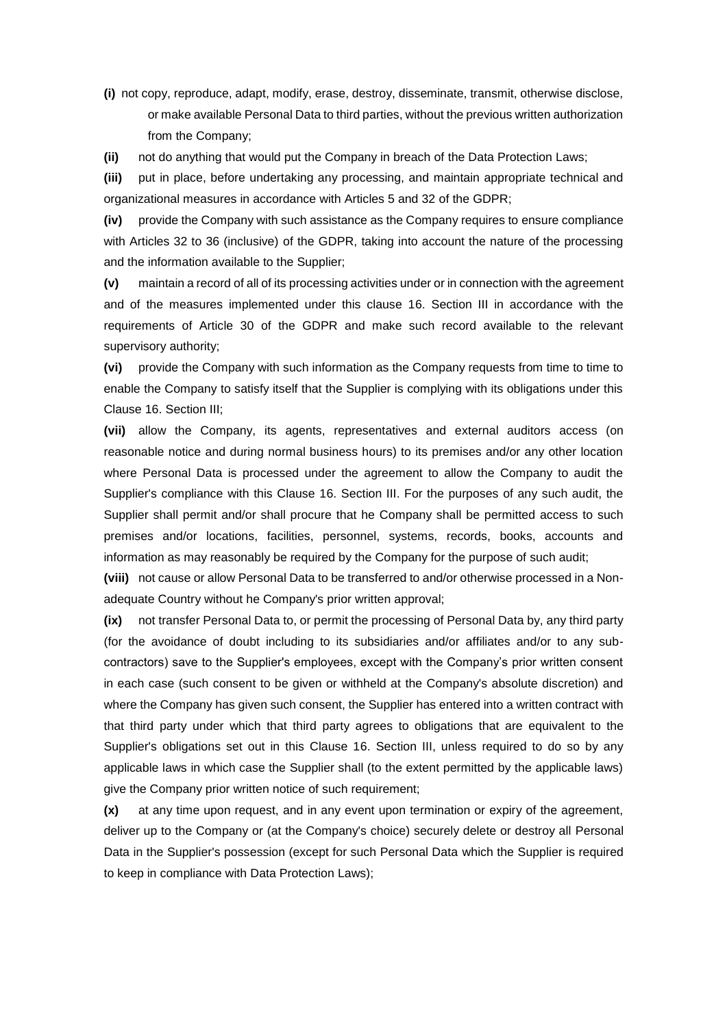**(i)** not copy, reproduce, adapt, modify, erase, destroy, disseminate, transmit, otherwise disclose, or make available Personal Data to third parties, without the previous written authorization from the Company;

**(ii)** not do anything that would put the Company in breach of the Data Protection Laws;

**(iii)** put in place, before undertaking any processing, and maintain appropriate technical and organizational measures in accordance with Articles 5 and 32 of the GDPR;

**(iv)** provide the Company with such assistance as the Company requires to ensure compliance with Articles 32 to 36 (inclusive) of the GDPR, taking into account the nature of the processing and the information available to the Supplier;

**(v)** maintain a record of all of its processing activities under or in connection with the agreement and of the measures implemented under this clause 16. Section III in accordance with the requirements of Article 30 of the GDPR and make such record available to the relevant supervisory authority;

**(vi)** provide the Company with such information as the Company requests from time to time to enable the Company to satisfy itself that the Supplier is complying with its obligations under this Clause 16. Section III;

**(vii)** allow the Company, its agents, representatives and external auditors access (on reasonable notice and during normal business hours) to its premises and/or any other location where Personal Data is processed under the agreement to allow the Company to audit the Supplier's compliance with this Clause 16. Section III. For the purposes of any such audit, the Supplier shall permit and/or shall procure that he Company shall be permitted access to such premises and/or locations, facilities, personnel, systems, records, books, accounts and information as may reasonably be required by the Company for the purpose of such audit;

**(viii)** not cause or allow Personal Data to be transferred to and/or otherwise processed in a Nonadequate Country without he Company's prior written approval;

**(ix)** not transfer Personal Data to, or permit the processing of Personal Data by, any third party (for the avoidance of doubt including to its subsidiaries and/or affiliates and/or to any subcontractors) save to the Supplier's employees, except with the Company's prior written consent in each case (such consent to be given or withheld at the Company's absolute discretion) and where the Company has given such consent, the Supplier has entered into a written contract with that third party under which that third party agrees to obligations that are equivalent to the Supplier's obligations set out in this Clause 16. Section III, unless required to do so by any applicable laws in which case the Supplier shall (to the extent permitted by the applicable laws) give the Company prior written notice of such requirement;

**(x)** at any time upon request, and in any event upon termination or expiry of the agreement, deliver up to the Company or (at the Company's choice) securely delete or destroy all Personal Data in the Supplier's possession (except for such Personal Data which the Supplier is required to keep in compliance with Data Protection Laws);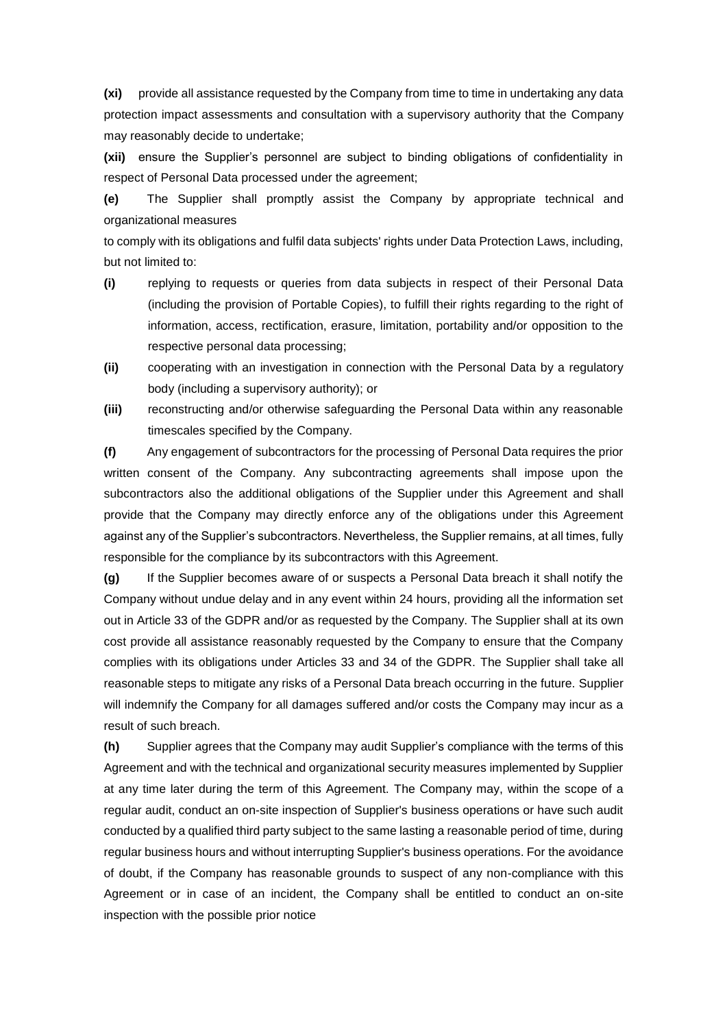**(xi)** provide all assistance requested by the Company from time to time in undertaking any data protection impact assessments and consultation with a supervisory authority that the Company may reasonably decide to undertake;

**(xii)** ensure the Supplier's personnel are subject to binding obligations of confidentiality in respect of Personal Data processed under the agreement;

**(e)** The Supplier shall promptly assist the Company by appropriate technical and organizational measures

to comply with its obligations and fulfil data subjects' rights under Data Protection Laws, including, but not limited to:

- **(i)** replying to requests or queries from data subjects in respect of their Personal Data (including the provision of Portable Copies), to fulfill their rights regarding to the right of information, access, rectification, erasure, limitation, portability and/or opposition to the respective personal data processing;
- **(ii)** cooperating with an investigation in connection with the Personal Data by a regulatory body (including a supervisory authority); or
- **(iii)** reconstructing and/or otherwise safeguarding the Personal Data within any reasonable timescales specified by the Company.

**(f)** Any engagement of subcontractors for the processing of Personal Data requires the prior written consent of the Company. Any subcontracting agreements shall impose upon the subcontractors also the additional obligations of the Supplier under this Agreement and shall provide that the Company may directly enforce any of the obligations under this Agreement against any of the Supplier's subcontractors. Nevertheless, the Supplier remains, at all times, fully responsible for the compliance by its subcontractors with this Agreement.

**(g)** If the Supplier becomes aware of or suspects a Personal Data breach it shall notify the Company without undue delay and in any event within 24 hours, providing all the information set out in Article 33 of the GDPR and/or as requested by the Company. The Supplier shall at its own cost provide all assistance reasonably requested by the Company to ensure that the Company complies with its obligations under Articles 33 and 34 of the GDPR. The Supplier shall take all reasonable steps to mitigate any risks of a Personal Data breach occurring in the future. Supplier will indemnify the Company for all damages suffered and/or costs the Company may incur as a result of such breach.

**(h)** Supplier agrees that the Company may audit Supplier's compliance with the terms of this Agreement and with the technical and organizational security measures implemented by Supplier at any time later during the term of this Agreement. The Company may, within the scope of a regular audit, conduct an on-site inspection of Supplier's business operations or have such audit conducted by a qualified third party subject to the same lasting a reasonable period of time, during regular business hours and without interrupting Supplier's business operations. For the avoidance of doubt, if the Company has reasonable grounds to suspect of any non-compliance with this Agreement or in case of an incident, the Company shall be entitled to conduct an on-site inspection with the possible prior notice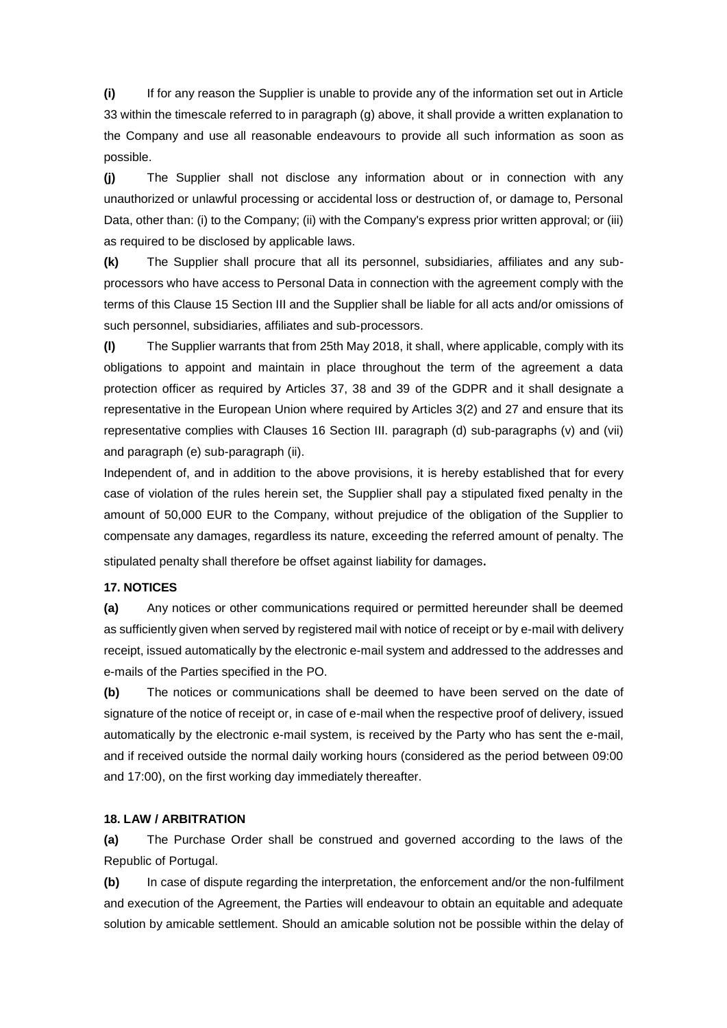**(i)** If for any reason the Supplier is unable to provide any of the information set out in Article 33 within the timescale referred to in paragraph (g) above, it shall provide a written explanation to the Company and use all reasonable endeavours to provide all such information as soon as possible.

**(j)** The Supplier shall not disclose any information about or in connection with any unauthorized or unlawful processing or accidental loss or destruction of, or damage to, Personal Data, other than: (i) to the Company; (ii) with the Company's express prior written approval; or (iii) as required to be disclosed by applicable laws.

**(k)** The Supplier shall procure that all its personnel, subsidiaries, affiliates and any subprocessors who have access to Personal Data in connection with the agreement comply with the terms of this Clause 15 Section III and the Supplier shall be liable for all acts and/or omissions of such personnel, subsidiaries, affiliates and sub-processors.

**(l)** The Supplier warrants that from 25th May 2018, it shall, where applicable, comply with its obligations to appoint and maintain in place throughout the term of the agreement a data protection officer as required by Articles 37, 38 and 39 of the GDPR and it shall designate a representative in the European Union where required by Articles 3(2) and 27 and ensure that its representative complies with Clauses 16 Section III. paragraph (d) sub-paragraphs (v) and (vii) and paragraph (e) sub-paragraph (ii).

Independent of, and in addition to the above provisions, it is hereby established that for every case of violation of the rules herein set, the Supplier shall pay a stipulated fixed penalty in the amount of 50,000 EUR to the Company, without prejudice of the obligation of the Supplier to compensate any damages, regardless its nature, exceeding the referred amount of penalty. The stipulated penalty shall therefore be offset against liability for damages.

#### **17. NOTICES**

**(a)** Any notices or other communications required or permitted hereunder shall be deemed as sufficiently given when served by registered mail with notice of receipt or by e-mail with delivery receipt, issued automatically by the electronic e-mail system and addressed to the addresses and e-mails of the Parties specified in the PO.

**(b)** The notices or communications shall be deemed to have been served on the date of signature of the notice of receipt or, in case of e-mail when the respective proof of delivery, issued automatically by the electronic e-mail system, is received by the Party who has sent the e-mail, and if received outside the normal daily working hours (considered as the period between 09:00 and 17:00), on the first working day immediately thereafter.

#### **18. LAW / ARBITRATION**

**(a)** The Purchase Order shall be construed and governed according to the laws of the Republic of Portugal.

**(b)** In case of dispute regarding the interpretation, the enforcement and/or the non-fulfilment and execution of the Agreement, the Parties will endeavour to obtain an equitable and adequate solution by amicable settlement. Should an amicable solution not be possible within the delay of